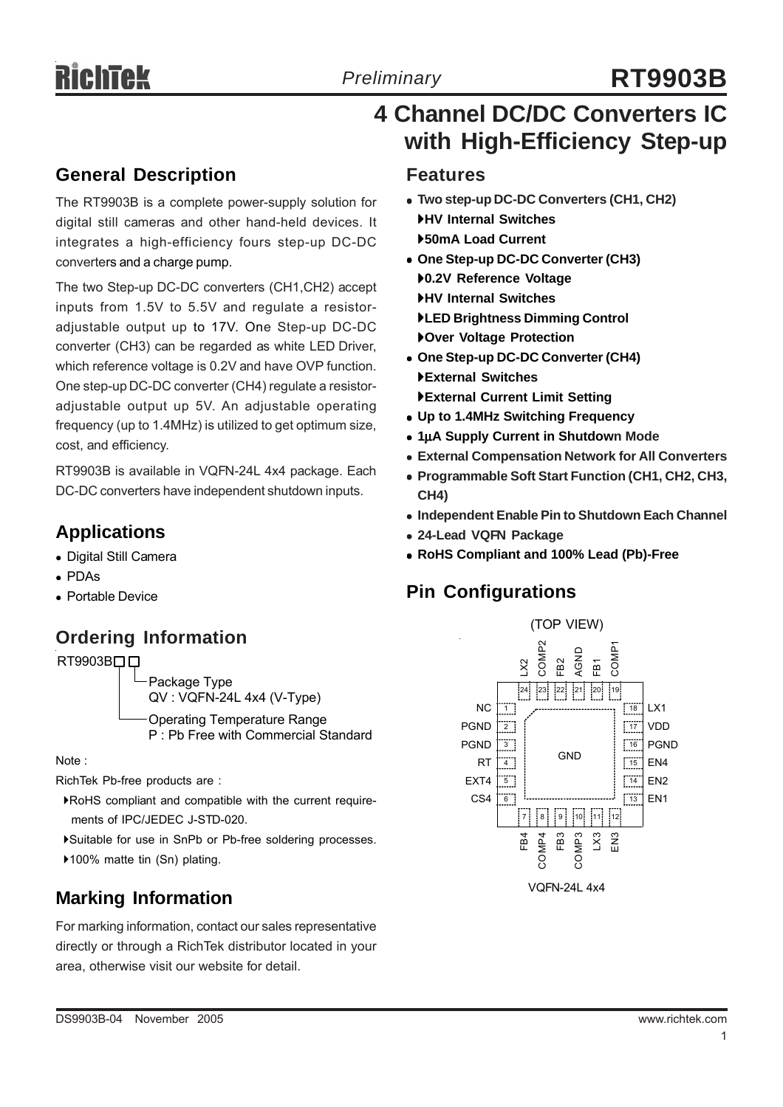# *Preliminary* **RT9903B**

 **4 Channel DC/DC Converters IC with High-Efficiency Step-up**

### **General Description**

The RT9903B is a complete power-supply solution for digital still cameras and other hand-held devices. It integrates a high-efficiency fours step-up DC-DC converters and a charge pump.

The two Step-up DC-DC converters (CH1,CH2) accept inputs from 1.5V to 5.5V and regulate a resistoradjustable output up to 17V. One Step-up DC-DC converter (CH3) can be regarded as white LED Driver, which reference voltage is 0.2V and have OVP function. One step-up DC-DC converter (CH4) regulate a resistoradjustable output up 5V. An adjustable operating frequency (up to 1.4MHz) is utilized to get optimum size, cost, and efficiency.

RT9903B is available in VQFN-24L 4x4 package. Each DC-DC converters have independent shutdown inputs.

# **Applications**

- Digital Still Camera
- $\bullet$  PDAs
- Portable Device

# **Ordering Information**



Package Type QV : VQFN-24L 4x4 (V-Type) Operating Temperature Range P : Pb Free with Commercial Standard

Note :

RichTek Pb-free products are :

- `RoHS compliant and compatible with the current require ments of IPC/JEDEC J-STD-020.
- `Suitable for use in SnPb or Pb-free soldering processes.
- ▶100% matte tin (Sn) plating.

For marking information, contact our sales representative directly or through a RichTek distributor located in your area, otherwise visit our website for detail.

### **Features**

- <sup>z</sup> **Two step-up DC-DC Converters (CH1, CH2)** `**HV Internal Switches** `**50mA Load Current**
- <sup>z</sup> **One Step-up DC-DC Converter (CH3)** `**0.2V Reference Voltage** `**HV Internal Switches** `**LED Brightness Dimming Control** `**Over Voltage Protection**
- One Step-up DC-DC Converter (CH4) `**External Switches** `**External Current Limit Setting**
- <sup>z</sup> **Up to 1.4MHz Switching Frequency**
- <sup>z</sup> **1**μ**A Supply Current in Shutdown Mode**
- **External Compensation Network for All Converters**
- <sup>z</sup> **Programmable Soft Start Function (CH1, CH2, CH3, CH4)**
- **Independent Enable Pin to Shutdown Each Channel**
- <sup>z</sup> **24-Lead VQFN Package**
- <sup>z</sup> **RoHS Compliant and 100% Lead (Pb)-Free**

# **Pin Configurations**

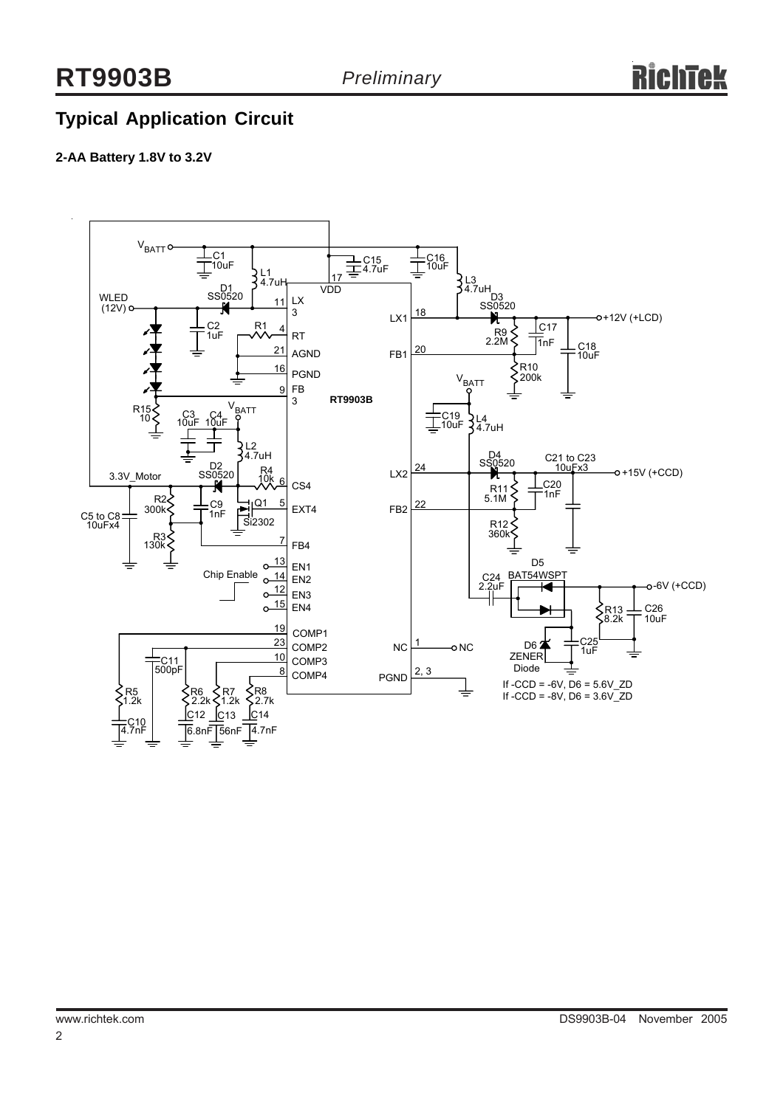# **Typical Application Circuit**

#### **2-AA Battery 1.8V to 3.2V**

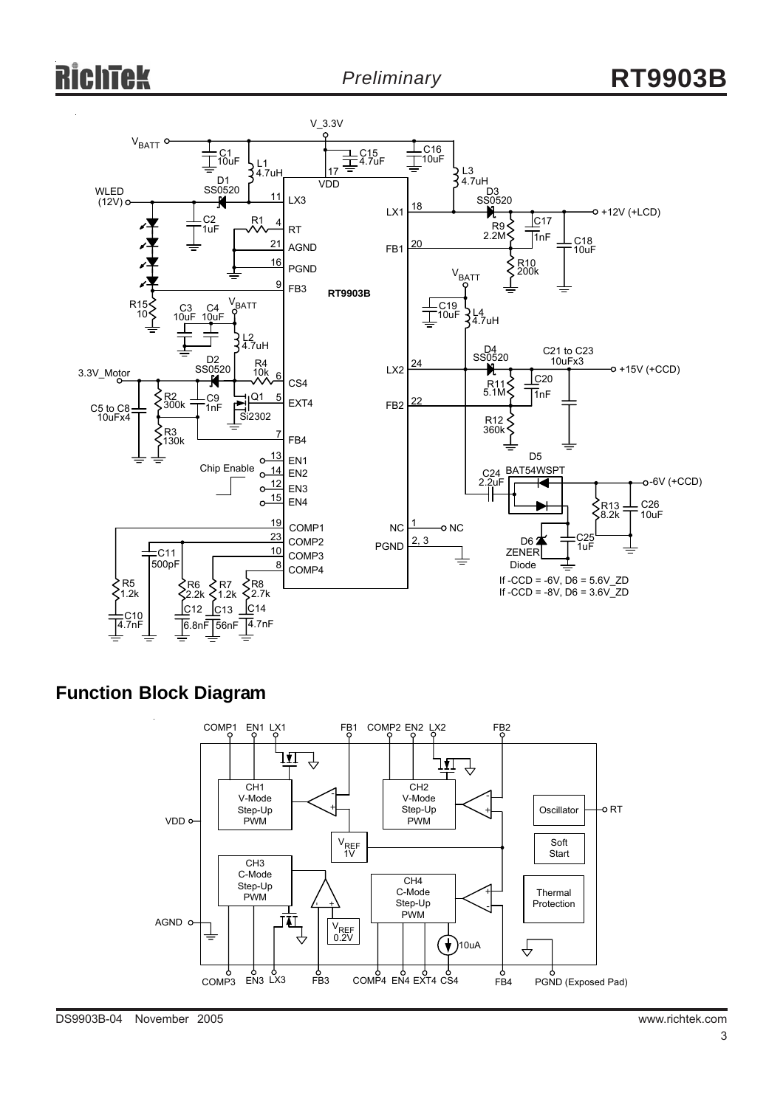

## **Function Block Diagram**

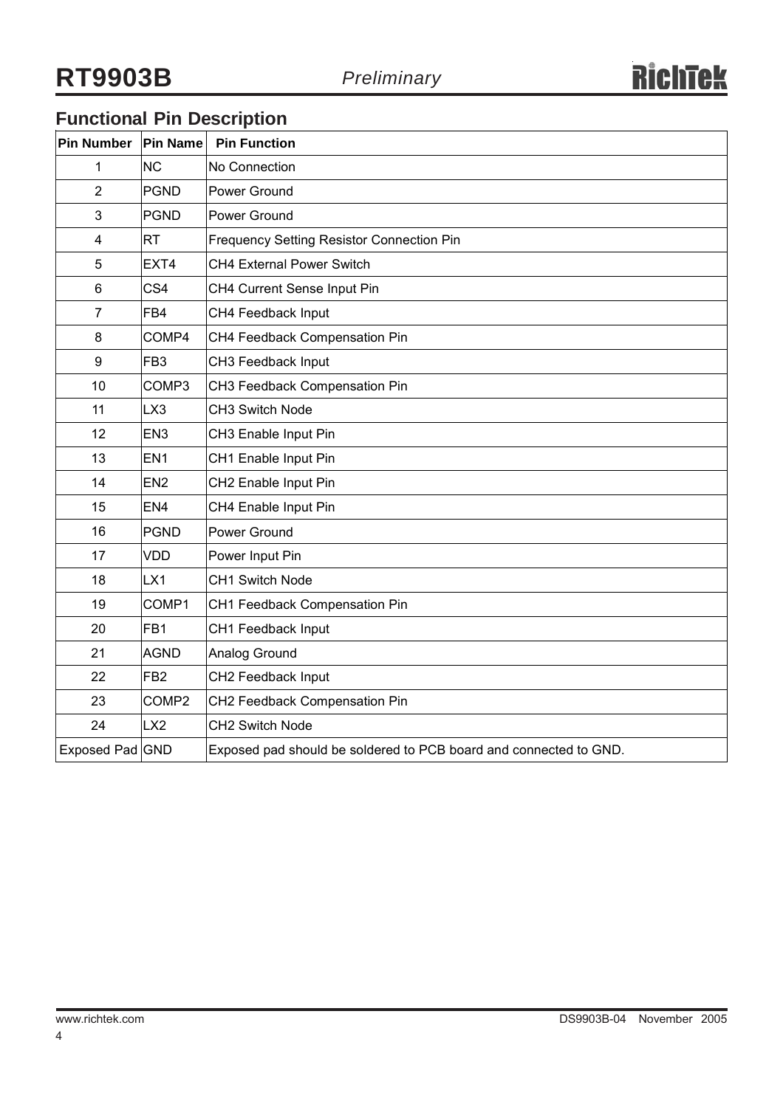# **Functional Pin Description**

| Pin Number      | <b>Pin Name</b>   | <b>Pin Function</b>                                               |
|-----------------|-------------------|-------------------------------------------------------------------|
| 1               | <b>NC</b>         | No Connection                                                     |
| $\overline{2}$  | <b>PGND</b>       | Power Ground                                                      |
| 3               | <b>PGND</b>       | Power Ground                                                      |
| $\overline{4}$  | <b>RT</b>         | <b>Frequency Setting Resistor Connection Pin</b>                  |
| 5               | EXT4              | CH4 External Power Switch                                         |
| $6\phantom{1}6$ | CS <sub>4</sub>   | CH4 Current Sense Input Pin                                       |
| $\overline{7}$  | FB4               | CH4 Feedback Input                                                |
| 8               | COMP4             | CH4 Feedback Compensation Pin                                     |
| 9               | FB <sub>3</sub>   | CH3 Feedback Input                                                |
| 10              | COMP3             | CH3 Feedback Compensation Pin                                     |
| 11              | LX3               | CH3 Switch Node                                                   |
| 12              | EN <sub>3</sub>   | CH3 Enable Input Pin                                              |
| 13              | EN <sub>1</sub>   | CH1 Enable Input Pin                                              |
| 14              | EN <sub>2</sub>   | CH2 Enable Input Pin                                              |
| 15              | EN <sub>4</sub>   | CH4 Enable Input Pin                                              |
| 16              | <b>PGND</b>       | Power Ground                                                      |
| 17              | <b>VDD</b>        | Power Input Pin                                                   |
| 18              | LX <sub>1</sub>   | CH1 Switch Node                                                   |
| 19              | COMP1             | CH1 Feedback Compensation Pin                                     |
| 20              | FB <sub>1</sub>   | CH1 Feedback Input                                                |
| 21              | <b>AGND</b>       | Analog Ground                                                     |
| 22              | FB <sub>2</sub>   | CH2 Feedback Input                                                |
| 23              | COMP <sub>2</sub> | CH2 Feedback Compensation Pin                                     |
| 24              | LX2               | CH2 Switch Node                                                   |
| Exposed Pad GND |                   | Exposed pad should be soldered to PCB board and connected to GND. |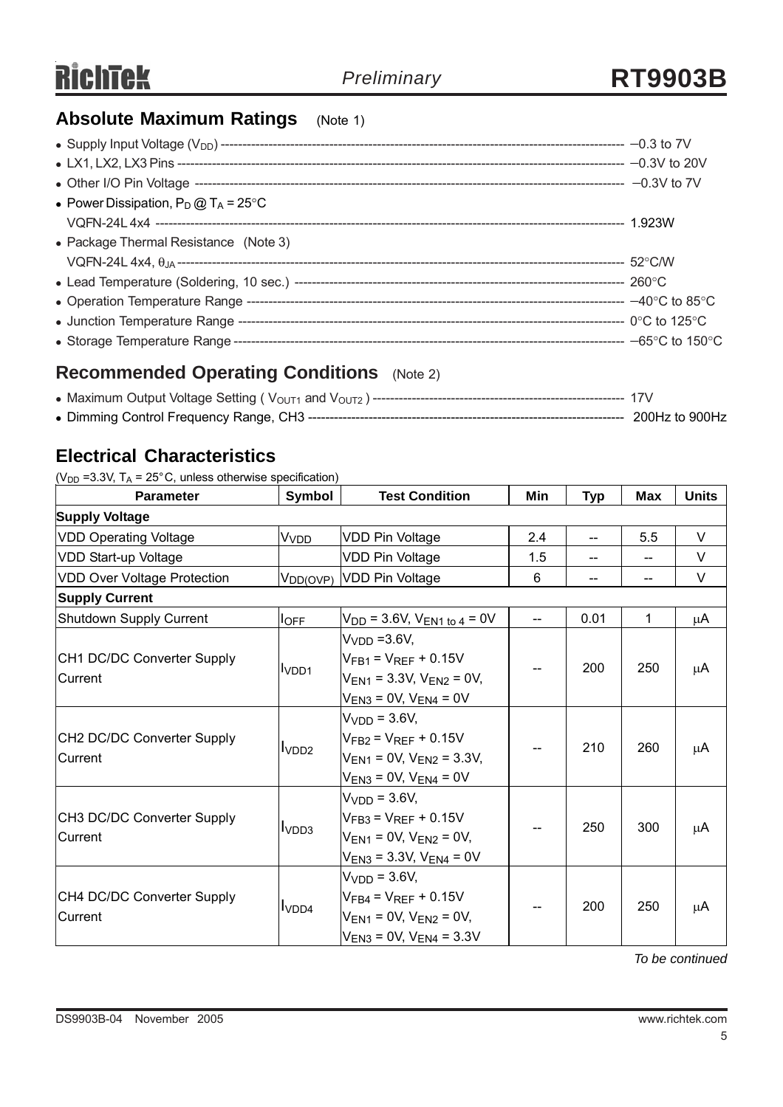# **Absolute Maximum Ratings** (Note 1)

| • Power Dissipation, $P_D @ T_A = 25^{\circ}C$ |  |
|------------------------------------------------|--|
|                                                |  |
| • Package Thermal Resistance (Note 3)          |  |
|                                                |  |
|                                                |  |
|                                                |  |
|                                                |  |
|                                                |  |

# **Recommended Operating Conditions** (Note 2)

## **Electrical Characteristics**

( $V_{DD}$  =3.3V, T<sub>A</sub> = 25°C, unless otherwise specification)

| <b>Parameter</b>                   | Symbol                  | <b>Test Condition</b>                     | Min | Typ   | Max | <b>Units</b> |
|------------------------------------|-------------------------|-------------------------------------------|-----|-------|-----|--------------|
| <b>Supply Voltage</b>              |                         |                                           |     |       |     |              |
| <b>VDD Operating Voltage</b>       | <b>V</b> <sub>VDD</sub> | <b>VDD Pin Voltage</b>                    | 2.4 | $- -$ | 5.5 | V            |
| VDD Start-up Voltage               |                         | <b>VDD Pin Voltage</b>                    | 1.5 |       |     | V            |
| <b>VDD Over Voltage Protection</b> | $V_{DD(OVP)}$           | VDD Pin Voltage                           | 6   |       |     | V            |
| <b>Supply Current</b>              |                         |                                           |     |       |     |              |
| Shutdown Supply Current            | $I_{\text{OFF}}$        | $V_{DD}$ = 3.6V, $V_{EN1}$ to 4 = 0V      |     | 0.01  | 1   | μA           |
|                                    |                         | V <sub>VDD</sub> =3.6V,                   |     |       |     |              |
| CH1 DC/DC Converter Supply         |                         | $V_{FB1} = V_{REF} + 0.15V$               |     | 200   | 250 | μA           |
| <b>Current</b>                     | I <sub>VDD1</sub>       | $V_{EN1}$ = 3.3V, $V_{EN2}$ = 0V,         |     |       |     |              |
|                                    |                         | $V_{EN3}$ = 0V, $V_{EN4}$ = 0V            |     |       |     |              |
|                                    |                         | $VVDD = 3.6V,$                            |     | 210   | 260 | μA           |
| CH2 DC/DC Converter Supply         |                         | $VFB2 = VREF + 0.15V$                     |     |       |     |              |
| Current                            | I <sub>VDD2</sub>       | $V_{EN1}$ = 0V, $V_{EN2}$ = 3.3V,         |     |       |     |              |
|                                    |                         | $V_{EN3} = 0V$ , $V_{EN4} = 0V$           |     |       |     |              |
|                                    |                         | .Vvnn = 3.6V                              |     | 250   | 300 | μA           |
| CH3 DC/DC Converter Supply         |                         | $V_{FB3} = V_{REF} + 0.15V$               |     |       |     |              |
| lCurrent                           | I <sub>VDD3</sub>       | $V_{FN1} = 0V$ , $V_{FN2} = 0V$ ,         |     |       |     |              |
|                                    |                         | $V_{EN3}$ = 3.3V, $V_{EN4}$ = 0V          |     |       |     |              |
|                                    |                         | $VVDD = 3.6V,$                            |     |       |     |              |
| CH4 DC/DC Converter Supply         |                         | $V_{\text{FR4}} = V_{\text{RFF}} + 0.15V$ |     | 200   | 250 | μA           |
| Current                            | I <sub>VDD4</sub>       | $V_{EN1} = 0V$ , $V_{EN2} = 0V$ ,         |     |       |     |              |
|                                    |                         | $V_{EN3}$ = 0V, $V_{EN4}$ = 3.3V          |     |       |     |              |

*To be continued*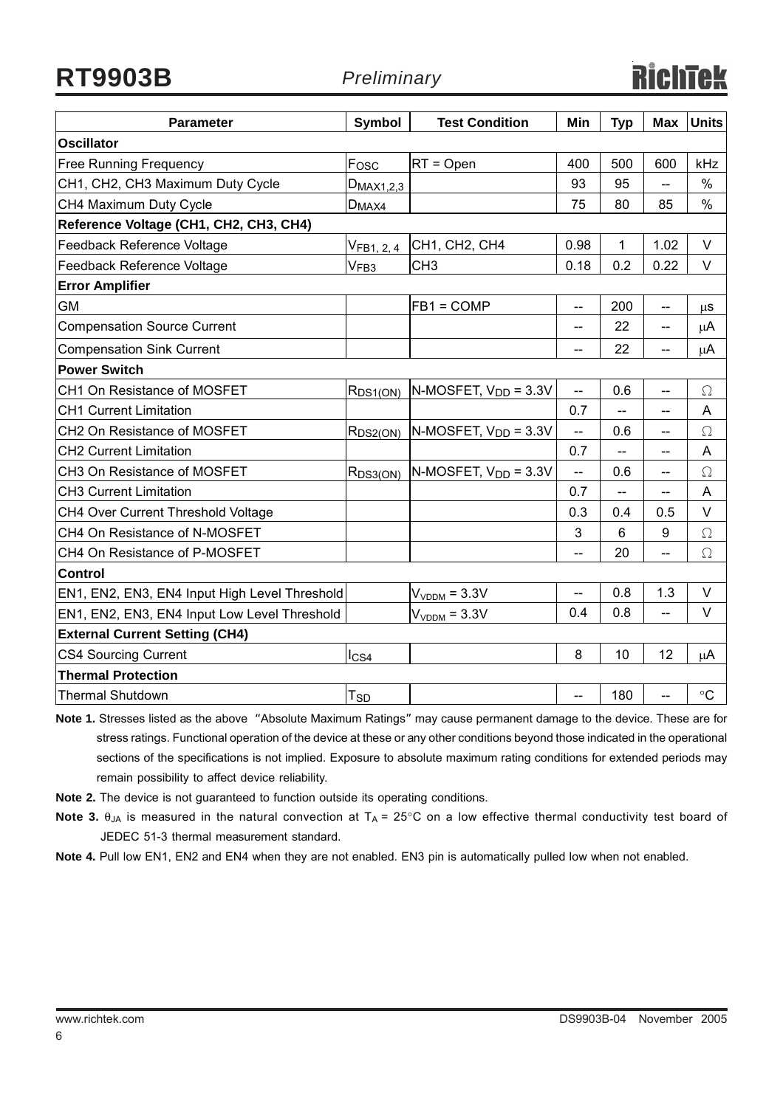**RT9903B** *Preliminary*

| <b>Parameter</b>                              | Symbol                | <b>Test Condition</b>                | Min            | <b>Typ</b>               | <b>Max</b>               | <b>Units</b> |
|-----------------------------------------------|-----------------------|--------------------------------------|----------------|--------------------------|--------------------------|--------------|
| <b>Oscillator</b>                             |                       |                                      |                |                          |                          |              |
| <b>Free Running Frequency</b>                 | $F_{OSC}$             | $RT = Open$                          | 400            | 500                      | 600                      | kHz          |
| CH1, CH2, CH3 Maximum Duty Cycle              | D <sub>MAX1,2,3</sub> |                                      | 93             | 95                       | $-$                      | $\%$         |
| CH4 Maximum Duty Cycle                        | $D_{MAX4}$            |                                      | 75             | 80                       | 85                       | $\%$         |
| Reference Voltage (CH1, CH2, CH3, CH4)        |                       |                                      |                |                          |                          |              |
| Feedback Reference Voltage                    |                       | V <sub>FB1, 2, 4</sub> CH1, CH2, CH4 | 0.98           | 1                        | 1.02                     | V            |
| Feedback Reference Voltage                    | V <sub>FB3</sub>      | CH <sub>3</sub>                      | 0.18           | 0.2                      | 0.22                     | V            |
| <b>Error Amplifier</b>                        |                       |                                      |                |                          |                          |              |
| <b>GM</b>                                     |                       | $FB1 = COMP$                         | $-$            | 200                      | --                       | $\mu$ S      |
| <b>Compensation Source Current</b>            |                       |                                      | --             | 22                       | $-$                      | μA           |
| <b>Compensation Sink Current</b>              |                       |                                      | --             | 22                       | $-$                      | $\mu$ A      |
| <b>Power Switch</b>                           |                       |                                      |                |                          |                          |              |
| CH1 On Resistance of MOSFET                   | R <sub>DS1(ON)</sub>  | N-MOSFET, $V_{DD} = 3.3V$            | $\overline{a}$ | 0.6                      | $\overline{a}$           | $\Omega$     |
| <b>CH1 Current Limitation</b>                 |                       |                                      | 0.7            | --                       | $-$                      | A            |
| CH2 On Resistance of MOSFET                   | $R_{DS2(ON)}$         | $N-MOSFET, VDD = 3.3V$               | --             | 0.6                      | --                       | Ω            |
| <b>CH2 Current Limitation</b>                 |                       |                                      | 0.7            | --                       | --                       | A            |
| CH3 On Resistance of MOSFET                   | $R_{DS3(ON)}$         | $N-MOSFET, VDD = 3.3V$               | LL.            | 0.6                      | --                       | $\Omega$     |
| <b>CH3 Current Limitation</b>                 |                       |                                      | 0.7            | $\overline{\phantom{a}}$ | $\overline{\phantom{a}}$ | A            |
| CH4 Over Current Threshold Voltage            |                       |                                      | 0.3            | 0.4                      | 0.5                      | $\vee$       |
| CH4 On Resistance of N-MOSFET                 |                       |                                      | 3              | 6                        | 9                        | $\Omega$     |
| CH4 On Resistance of P-MOSFET                 |                       |                                      | --             | 20                       | $-$                      | $\Omega$     |
| Control                                       |                       |                                      |                |                          |                          |              |
| EN1, EN2, EN3, EN4 Input High Level Threshold |                       | $VVDDM = 3.3V$                       |                | 0.8                      | 1.3                      | $\vee$       |
| EN1, EN2, EN3, EN4 Input Low Level Threshold  |                       | $VVDDM = 3.3V$                       | 0.4            | 0.8                      | 44                       | V            |
| <b>External Current Setting (CH4)</b>         |                       |                                      |                |                          |                          |              |
| <b>CS4 Sourcing Current</b>                   | $_{\text{LSA}}$       |                                      | 8              | 10                       | 12                       | $\mu$ A      |
| <b>Thermal Protection</b>                     |                       |                                      |                |                          |                          |              |
| <b>Thermal Shutdown</b>                       | $T_{S\underline{D}}$  |                                      | $-$            | 180                      | <u></u>                  | $\circ$ C    |

**Note 1.** Stresses listed as the above "Absolute Maximum Ratings" may cause permanent damage to the device. These are for stress ratings. Functional operation of the device at these or any other conditions beyond those indicated in the operational sections of the specifications is not implied. Exposure to absolute maximum rating conditions for extended periods may remain possibility to affect device reliability.

**Note 2.** The device is not guaranteed to function outside its operating conditions.

**Note 3.**  $\theta_{JA}$  is measured in the natural convection at  $T_A = 25^{\circ}$ C on a low effective thermal conductivity test board of JEDEC 51-3 thermal measurement standard.

**Note 4.** Pull low EN1, EN2 and EN4 when they are not enabled. EN3 pin is automatically pulled low when not enabled.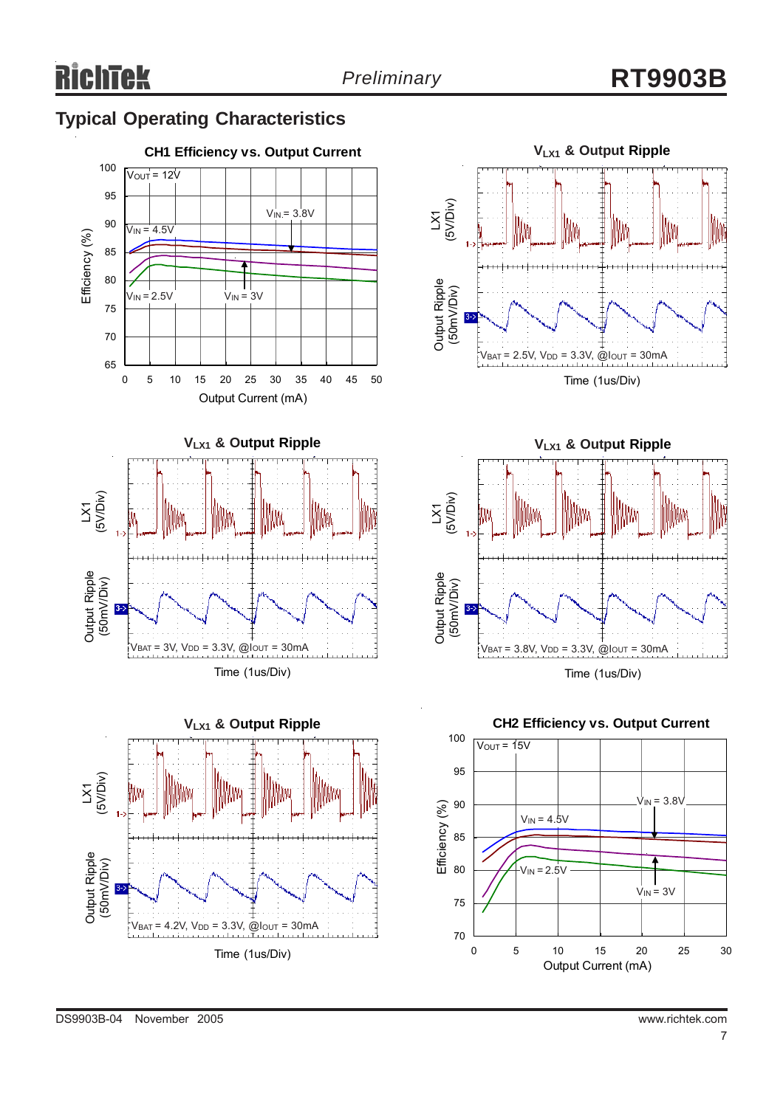# **Typical Operating Characteristics**









DS9903B-04 November 2005 www.richtek.com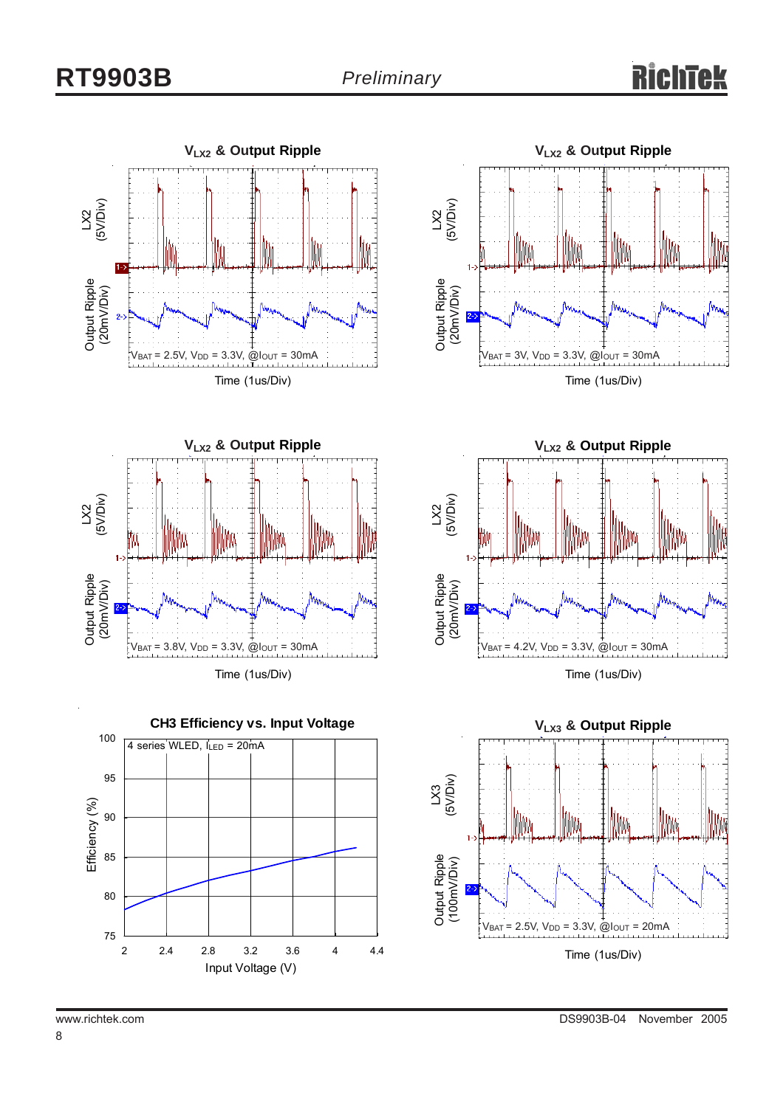# Rich





Time (1us/Div)







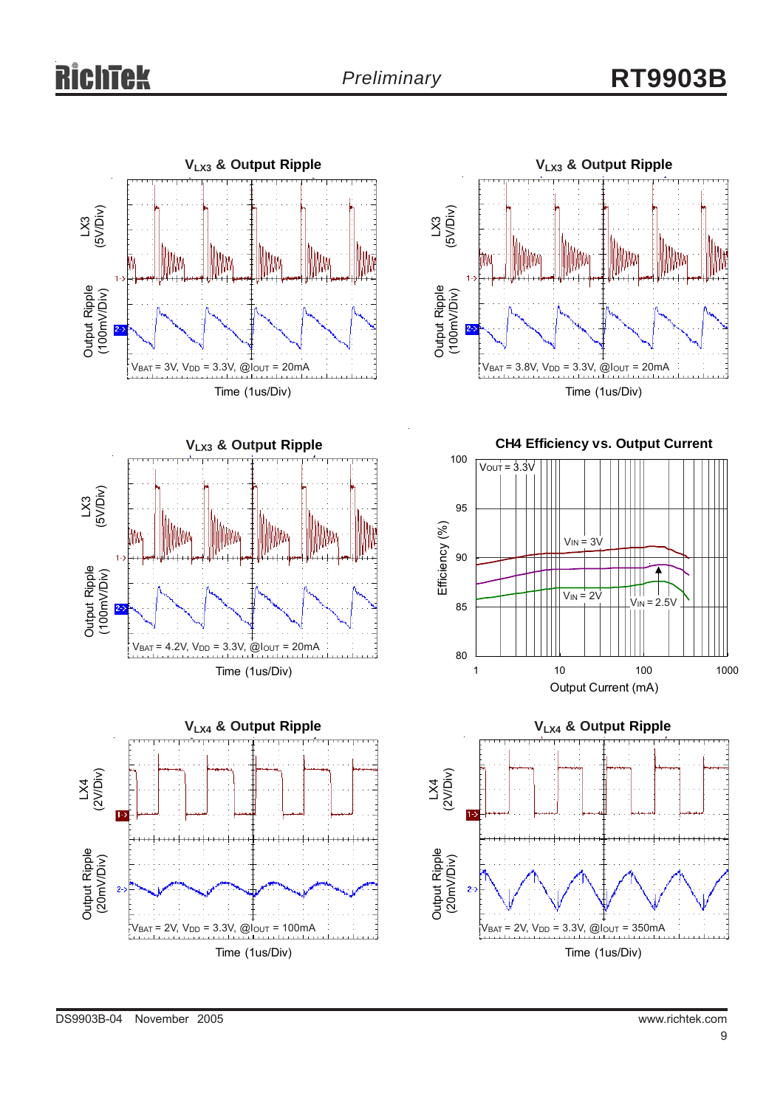







**CH4 Efficiency vs. Output Current**





DS9903B-04 November 2005 www.richtek.com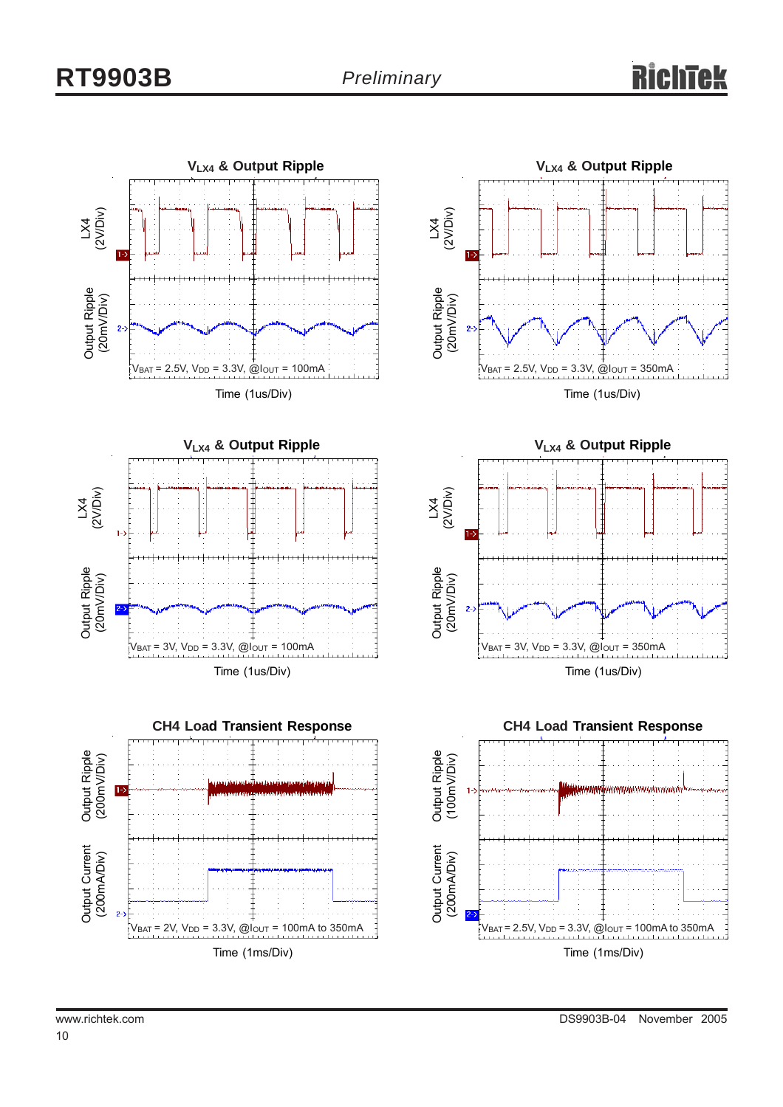







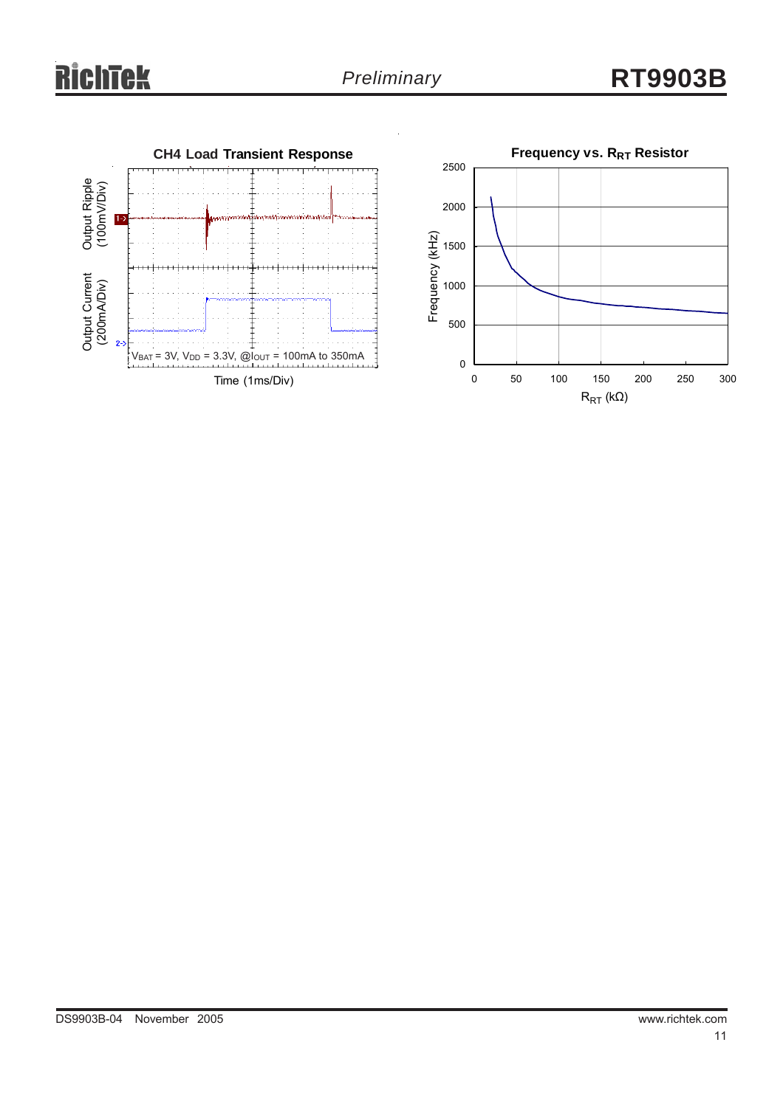

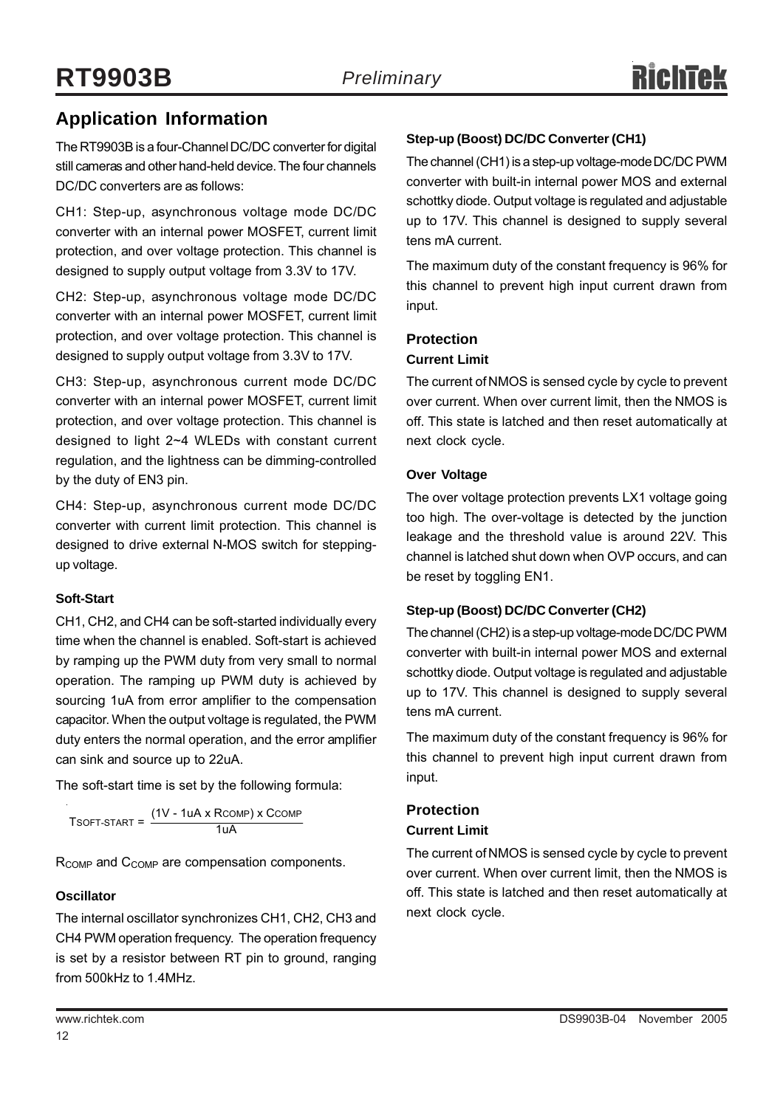# **Application Information**

The RT9903B is a four-Channel DC/DC converter for digital still cameras and other hand-held device. The four channels DC/DC converters are as follows:

CH1: Step-up, asynchronous voltage mode DC/DC converter with an internal power MOSFET, current limit protection, and over voltage protection. This channel is designed to supply output voltage from 3.3V to 17V.

CH2: Step-up, asynchronous voltage mode DC/DC converter with an internal power MOSFET, current limit protection, and over voltage protection. This channel is designed to supply output voltage from 3.3V to 17V.

CH3: Step-up, asynchronous current mode DC/DC converter with an internal power MOSFET, current limit protection, and over voltage protection. This channel is designed to light 2~4 WLEDs with constant current regulation, and the lightness can be dimming-controlled by the duty of EN3 pin.

CH4: Step-up, asynchronous current mode DC/DC converter with current limit protection. This channel is designed to drive external N-MOS switch for steppingup voltage.

#### **Soft-Start**

CH1, CH2, and CH4 can be soft-started individually every time when the channel is enabled. Soft-start is achieved by ramping up the PWM duty from very small to normal operation. The ramping up PWM duty is achieved by sourcing 1uA from error amplifier to the compensation capacitor. When the output voltage is regulated, the PWM duty enters the normal operation, and the error amplifier can sink and source up to 22uA.

The soft-start time is set by the following formula:

 $T$ SOFT-START =  $\frac{(1 V - 1 uA \times R$ COMP $)}{1 uA}$ 

R<sub>COMP</sub> and C<sub>COMP</sub> are compensation components.

#### **Oscillator**

The internal oscillator synchronizes CH1, CH2, CH3 and CH4 PWM operation frequency. The operation frequency is set by a resistor between RT pin to ground, ranging from 500kHz to 1.4MHz.

#### **Step-up (Boost) DC/DC Converter (CH1)**

The channel (CH1) is a step-up voltage-mode DC/DC PWM converter with built-in internal power MOS and external schottky diode. Output voltage is regulated and adjustable up to 17V. This channel is designed to supply several tens mA current.

The maximum duty of the constant frequency is 96% for this channel to prevent high input current drawn from input.

#### **Protection**

#### **Current Limit**

The current of NMOS is sensed cycle by cycle to prevent over current. When over current limit, then the NMOS is off. This state is latched and then reset automatically at next clock cycle.

#### **Over Voltage**

The over voltage protection prevents LX1 voltage going too high. The over-voltage is detected by the junction leakage and the threshold value is around 22V. This channel is latched shut down when OVP occurs, and can be reset by toggling EN1.

#### **Step-up (Boost) DC/DC Converter (CH2)**

The channel (CH2) is a step-up voltage-mode DC/DC PWM converter with built-in internal power MOS and external schottky diode. Output voltage is regulated and adjustable up to 17V. This channel is designed to supply several tens mA current.

The maximum duty of the constant frequency is 96% for this channel to prevent high input current drawn from input.

# **Protection**

**Current Limit**

The current of NMOS is sensed cycle by cycle to prevent over current. When over current limit, then the NMOS is off. This state is latched and then reset automatically at next clock cycle.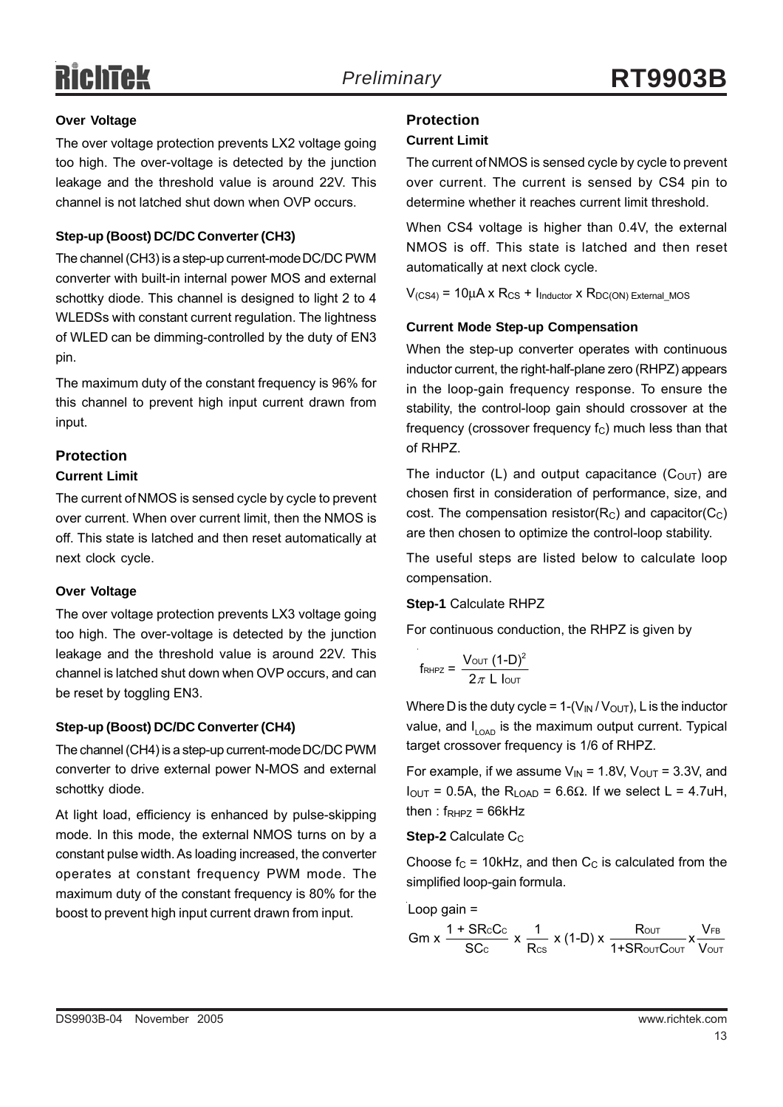# **RichTek**

#### **Over Voltage**

The over voltage protection prevents LX2 voltage going too high. The over-voltage is detected by the junction leakage and the threshold value is around 22V. This channel is not latched shut down when OVP occurs.

#### **Step-up (Boost) DC/DC Converter (CH3)**

The channel (CH3) is a step-up current-mode DC/DC PWM converter with built-in internal power MOS and external schottky diode. This channel is designed to light 2 to 4 WLEDSs with constant current regulation. The lightness of WLED can be dimming-controlled by the duty of EN3 pin.

The maximum duty of the constant frequency is 96% for this channel to prevent high input current drawn from input.

### **Protection**

#### **Current Limit**

The current of NMOS is sensed cycle by cycle to prevent over current. When over current limit, then the NMOS is off. This state is latched and then reset automatically at next clock cycle.

#### **Over Voltage**

The over voltage protection prevents LX3 voltage going too high. The over-voltage is detected by the junction leakage and the threshold value is around 22V. This channel is latched shut down when OVP occurs, and can be reset by toggling EN3.

#### **Step-up (Boost) DC/DC Converter (CH4)**

The channel (CH4) is a step-up current-mode DC/DC PWM converter to drive external power N-MOS and external schottky diode.

At light load, efficiency is enhanced by pulse-skipping mode. In this mode, the external NMOS turns on by a constant pulse width. As loading increased, the converter operates at constant frequency PWM mode. The maximum duty of the constant frequency is 80% for the boost to prevent high input current drawn from input.

### **Protection**

#### **Current Limit**

The current of NMOS is sensed cycle by cycle to prevent over current. The current is sensed by CS4 pin to determine whether it reaches current limit threshold.

When CS4 voltage is higher than 0.4V, the external NMOS is off. This state is latched and then reset automatically at next clock cycle.

 $V_{(CS4)} = 10\mu A \times R_{CS} + I_{Inductor} \times R_{DC(ON) External MOS}$ 

#### **Current Mode Step-up Compensation**

When the step-up converter operates with continuous inductor current, the right-half-plane zero (RHPZ) appears in the loop-gain frequency response. To ensure the stability, the control-loop gain should crossover at the frequency (crossover frequency  $f_C$ ) much less than that of RHPZ.

The inductor (L) and output capacitance  $(C_{OUT})$  are chosen first in consideration of performance, size, and cost. The compensation resistor( $R<sub>C</sub>$ ) and capacitor( $C<sub>C</sub>$ ) are then chosen to optimize the control-loop stability.

The useful steps are listed below to calculate loop compensation.

#### **Step-1** Calculate RHPZ

For continuous conduction, the RHPZ is given by

$$
f_{\text{RHPZ}} = \frac{V_{\text{OUT}} (1-D)^2}{2\pi L \text{ low}}
$$

Where D is the duty cycle =  $1-(V_{IN}/V_{OUT})$ , L is the inductor value, and  $I_{LOAD}$  is the maximum output current. Typical target crossover frequency is 1/6 of RHPZ.

For example, if we assume  $V_{IN}$  = 1.8V,  $V_{OUT}$  = 3.3V, and  $I<sub>OUT</sub> = 0.5A$ , the R<sub>LOAD</sub> = 6.6Ω. If we select L = 4.7uH, then :  $f_{RHPZ} = 66kHz$ 

**Step-2** Calculate C<sub>C</sub>

Choose  $f_C$  = 10kHz, and then  $C_C$  is calculated from the simplified loop-gain formula.

Loop gain =

\n
$$
Gm x \frac{1 + S R c C c}{S C c} x \frac{1}{R c s} x (1-D) x \frac{R c c T}{1 + S R c c T C c c T} x \frac{V_{FB}}{V c c T}
$$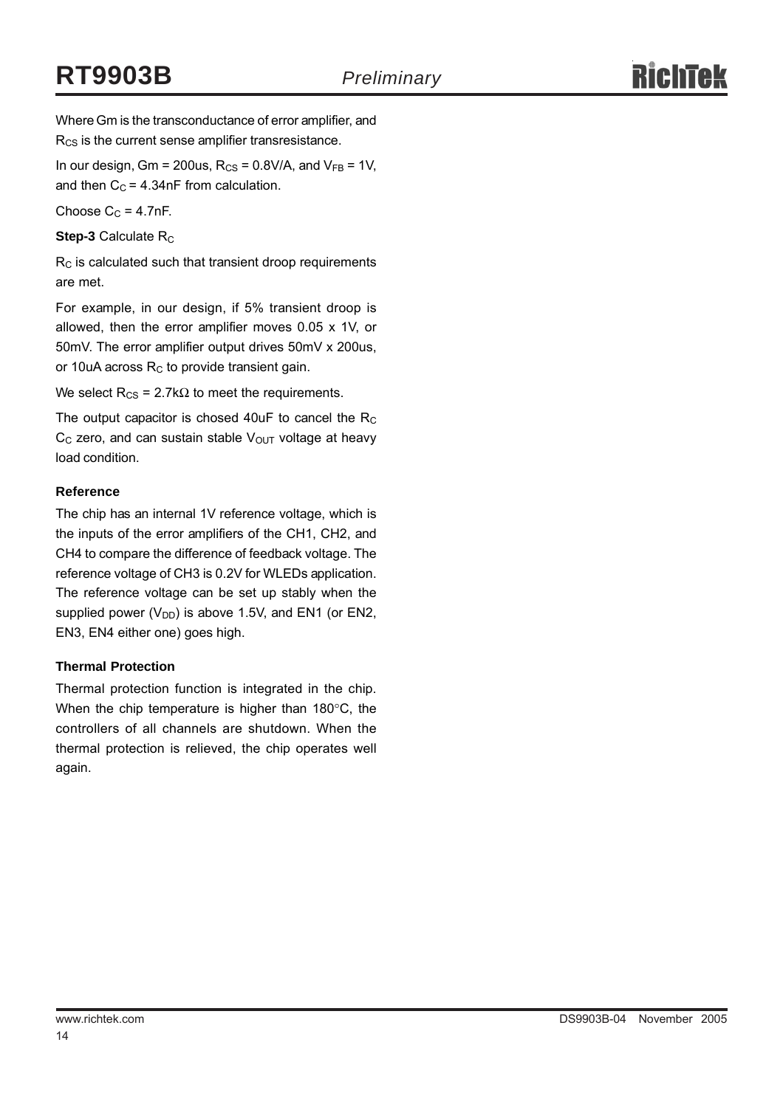Where Gm is the transconductance of error amplifier, and R<sub>CS</sub> is the current sense amplifier transresistance.

In our design, Gm = 200us,  $R_{CS}$  = 0.8V/A, and  $V_{FB}$  = 1V, and then  $C_C = 4.34$ nF from calculation.

Choose  $C_C = 4.7nF$ .

**Step-3** Calculate R<sub>C</sub>

 $R<sub>C</sub>$  is calculated such that transient droop requirements are met.

For example, in our design, if 5% transient droop is allowed, then the error amplifier moves 0.05 x 1V, or 50mV. The error amplifier output drives 50mV x 200us, or 10uA across  $R<sub>C</sub>$  to provide transient gain.

We select  $R_{CS}$  = 2.7k $\Omega$  to meet the requirements.

The output capacitor is chosed 40uF to cancel the  $R_C$  $C_{\text{C}}$  zero, and can sustain stable  $V_{\text{OUT}}$  voltage at heavy load condition.

#### **Reference**

The chip has an internal 1V reference voltage, which is the inputs of the error amplifiers of the CH1, CH2, and CH4 to compare the difference of feedback voltage. The reference voltage of CH3 is 0.2V for WLEDs application. The reference voltage can be set up stably when the supplied power  $(V_{DD})$  is above 1.5V, and EN1 (or EN2, EN3, EN4 either one) goes high.

#### **Thermal Protection**

Thermal protection function is integrated in the chip. When the chip temperature is higher than 180°C, the controllers of all channels are shutdown. When the thermal protection is relieved, the chip operates well again.